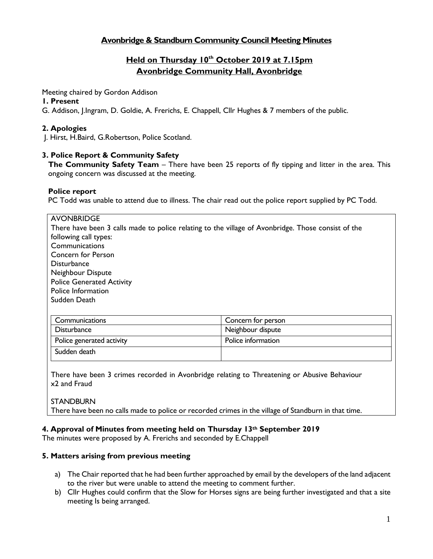# **Avonbridge & Standburn Community Council Meeting Minutes**

# **Held on Thursday 10 th October 2019 at 7.15pm Avonbridge Community Hall, Avonbridge**

Meeting chaired by Gordon Addison

#### **1. Present**

G. Addison, J.Ingram, D. Goldie, A. Frerichs, E. Chappell, Cllr Hughes & 7 members of the public.

# **2. Apologies**

J. Hirst, H.Baird, G.Robertson, Police Scotland.

### **3. Police Report & Community Safety**

**The Community Safety Team** – There have been 25 reports of fly tipping and litter in the area. This ongoing concern was discussed at the meeting.

#### **Police report**

PC Todd was unable to attend due to illness. The chair read out the police report supplied by PC Todd.

| <b>AVONBRIDGE</b>                                                                                  |                    |  |
|----------------------------------------------------------------------------------------------------|--------------------|--|
| There have been 3 calls made to police relating to the village of Avonbridge. Those consist of the |                    |  |
| following call types:                                                                              |                    |  |
| Communications                                                                                     |                    |  |
| Concern for Person                                                                                 |                    |  |
| <b>Disturbance</b>                                                                                 |                    |  |
| Neighbour Dispute                                                                                  |                    |  |
| <b>Police Generated Activity</b>                                                                   |                    |  |
| Police Information                                                                                 |                    |  |
| Sudden Death                                                                                       |                    |  |
|                                                                                                    |                    |  |
| Communications                                                                                     | Concern for person |  |
| <b>Disturbance</b>                                                                                 | Neighbour dispute  |  |
| Police generated activity                                                                          | Police information |  |
| Sudden death                                                                                       |                    |  |

There have been 3 crimes recorded in Avonbridge relating to Threatening or Abusive Behaviour x2 and Fraud

**STANDBURN** There have been no calls made to police or recorded crimes in the village of Standburn in that time.

### **4. Approval of Minutes from meeting held on Thursday 13th September 2019**

The minutes were proposed by A. Frerichs and seconded by E.Chappell

### **5. Matters arising from previous meeting**

- a) The Chair reported that he had been further approached by email by the developers of the land adjacent to the river but were unable to attend the meeting to comment further.
- b) Cllr Hughes could confirm that the Slow for Horses signs are being further investigated and that a site meeting Is being arranged.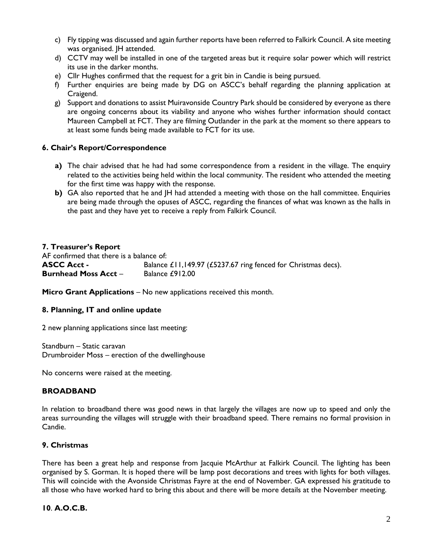- c) Fly tipping was discussed and again further reports have been referred to Falkirk Council. A site meeting was organised. JH attended.
- d) CCTV may well be installed in one of the targeted areas but it require solar power which will restrict its use in the darker months.
- e) Cllr Hughes confirmed that the request for a grit bin in Candie is being pursued.
- f) Further enquiries are being made by DG on ASCC's behalf regarding the planning application at Craigend.
- g) Support and donations to assist Muiravonside Country Park should be considered by everyone as there are ongoing concerns about its viability and anyone who wishes further information should contact Maureen Campbell at FCT. They are filming Outlander in the park at the moment so there appears to at least some funds being made available to FCT for its use.

### **6. Chair's Report/Correspondence**

- **a)** The chair advised that he had had some correspondence from a resident in the village. The enquiry related to the activities being held within the local community. The resident who attended the meeting for the first time was happy with the response.
- **b)** GA also reported that he and JH had attended a meeting with those on the hall committee. Enquiries are being made through the opuses of ASCC, regarding the finances of what was known as the halls in the past and they have yet to receive a reply from Falkirk Council.

#### **7. Treasurer's Report**

AF confirmed that there is a balance of: **ASCC Acct -** Balance £11,149.97 (£5237.67 ring fenced for Christmas decs). **Burnhead Moss Acct – Balance £912.00** 

**Micro Grant Applications – No new applications received this month.** 

#### **8. Planning, IT and online update**

2 new planning applications since last meeting:

Standburn – Static caravan Drumbroider Moss – erection of the dwellinghouse

No concerns were raised at the meeting.

#### **BROADBAND**

In relation to broadband there was good news in that largely the villages are now up to speed and only the areas surrounding the villages will struggle with their broadband speed. There remains no formal provision in Candie.

#### **9. Christmas**

There has been a great help and response from Jacquie McArthur at Falkirk Council. The lighting has been organised by S. Gorman. It is hoped there will be lamp post decorations and trees with lights for both villages. This will coincide with the Avonside Christmas Fayre at the end of November. GA expressed his gratitude to all those who have worked hard to bring this about and there will be more details at the November meeting.

#### **10**. **A.O.C.B.**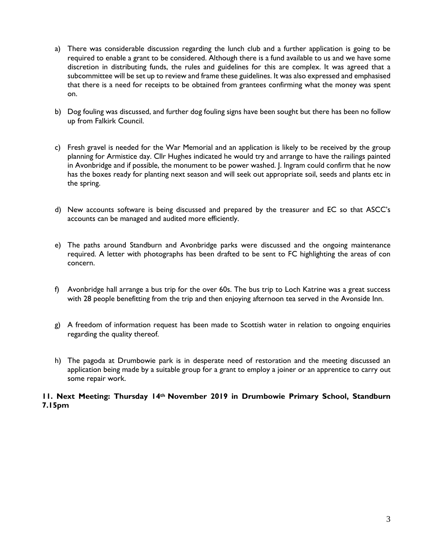- a) There was considerable discussion regarding the lunch club and a further application is going to be required to enable a grant to be considered. Although there is a fund available to us and we have some discretion in distributing funds, the rules and guidelines for this are complex. It was agreed that a subcommittee will be set up to review and frame these guidelines. It was also expressed and emphasised that there is a need for receipts to be obtained from grantees confirming what the money was spent on.
- b) Dog fouling was discussed, and further dog fouling signs have been sought but there has been no follow up from Falkirk Council.
- c) Fresh gravel is needed for the War Memorial and an application is likely to be received by the group planning for Armistice day. Cllr Hughes indicated he would try and arrange to have the railings painted in Avonbridge and if possible, the monument to be power washed. J. Ingram could confirm that he now has the boxes ready for planting next season and will seek out appropriate soil, seeds and plants etc in the spring.
- d) New accounts software is being discussed and prepared by the treasurer and EC so that ASCC's accounts can be managed and audited more efficiently.
- e) The paths around Standburn and Avonbridge parks were discussed and the ongoing maintenance required. A letter with photographs has been drafted to be sent to FC highlighting the areas of con concern.
- f) Avonbridge hall arrange a bus trip for the over 60s. The bus trip to Loch Katrine was a great success with 28 people benefitting from the trip and then enjoying afternoon tea served in the Avonside Inn.
- g) A freedom of information request has been made to Scottish water in relation to ongoing enquiries regarding the quality thereof.
- h) The pagoda at Drumbowie park is in desperate need of restoration and the meeting discussed an application being made by a suitable group for a grant to employ a joiner or an apprentice to carry out some repair work.

#### **11. Next Meeting: Thursday 14th November 2019 in Drumbowie Primary School, Standburn 7.15pm**